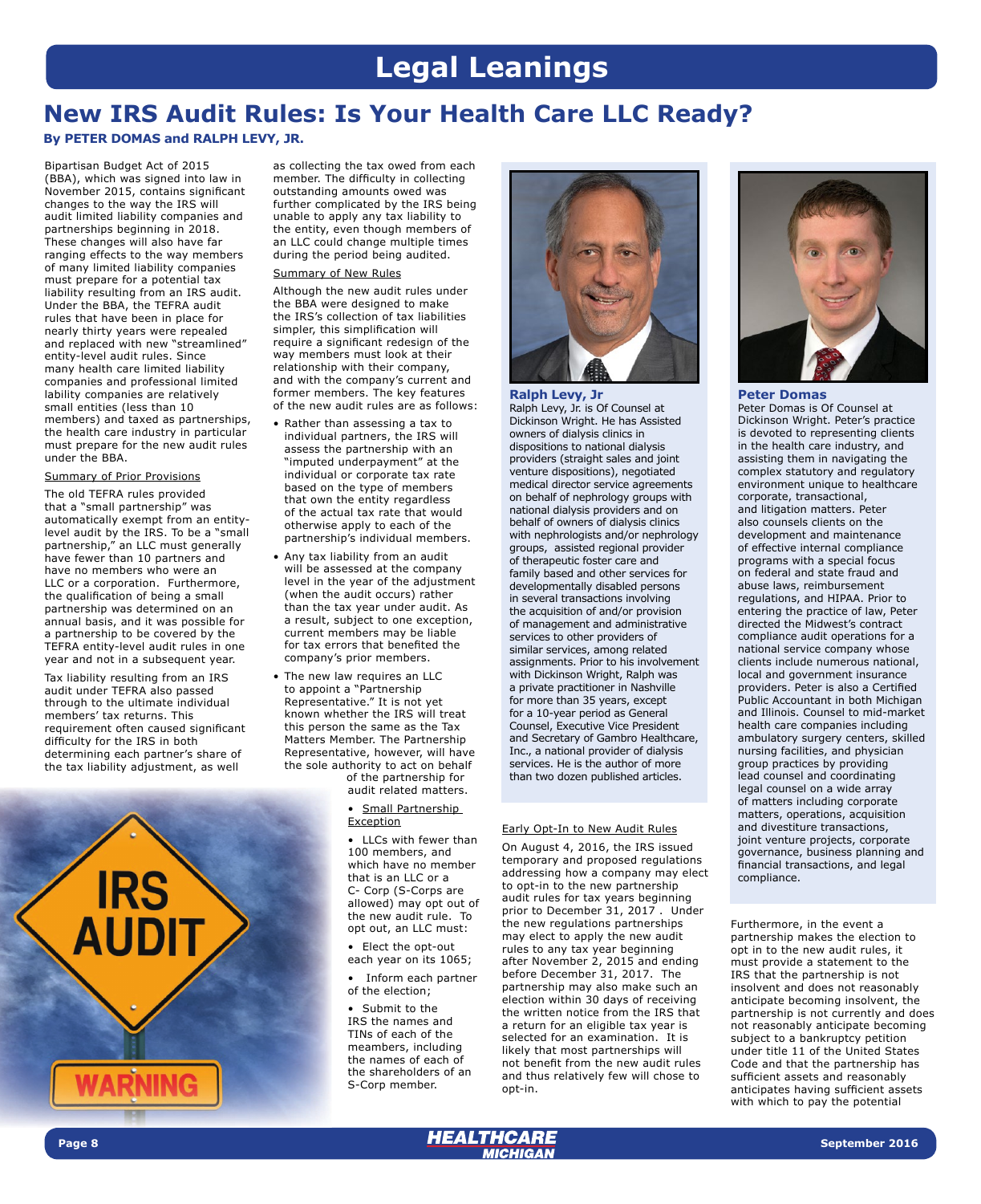# **Legal Leanings**

## **New IRS Audit Rules: Is Your Health Care LLC Ready?**

**By PETER DOMAS and RALPH LEVY, JR.**

Bipartisan Budget Act of 2015 (BBA), which was signed into law in November 2015, contains significant changes to the way the IRS will audit limited liability companies and partnerships beginning in 2018. These changes will also have far ranging effects to the way members of many limited liability companies must prepare for a potential tax liability resulting from an IRS audit. Under the BBA, the TEFRA audit rules that have been in place for nearly thirty years were repealed and replaced with new "streamlined" entity-level audit rules. Since many health care limited liability companies and professional limited lability companies are relatively small entities (less than 10 members) and taxed as partnerships, the health care industry in particular must prepare for the new audit rules under the BBA.

#### Summary of Prior Provisions

The old TEFRA rules provided that a "small partnership" was automatically exempt from an entitylevel audit by the IRS. To be a "small partnership," an LLC must generally have fewer than 10 partners and have no members who were an LLC or a corporation. Furthermore, the qualification of being a small partnership was determined on an annual basis, and it was possible for a partnership to be covered by the TEFRA entity-level audit rules in one year and not in a subsequent year.

Tax liability resulting from an IRS audit under TEFRA also passed through to the ultimate individual members' tax returns. This requirement often caused significant difficulty for the IRS in both determining each partner's share of the tax liability adjustment, as well



as collecting the tax owed from each member. The difficulty in collecting outstanding amounts owed was further complicated by the IRS being unable to apply any tax liability to the entity, even though members of an LLC could change multiple times during the period being audited.

#### Summary of New Rules

Although the new audit rules under the BBA were designed to make the IRS's collection of tax liabilities simpler, this simplification will require a significant redesign of the way members must look at their relationship with their company, and with the company's current and former members. The key features of the new audit rules are as follows:

- Rather than assessing a tax to individual partners, the IRS will assess the partnership with an "imputed underpayment" at the individual or corporate tax rate based on the type of members that own the entity regardless of the actual tax rate that would otherwise apply to each of the partnership's individual members.
- Any tax liability from an audit will be assessed at the company level in the year of the adjustment (when the audit occurs) rather than the tax year under audit. As a result, subject to one exception, current members may be liable for tax errors that benefited the company's prior members.

• The new law requires an LLC to appoint a "Partnership Representative." It is not yet known whether the IRS will treat this person the same as the Tax Matters Member. The Partnership Representative, however, will have the sole authority to act on behalf of the partnership for

audit related matters.

#### • Small Partnership Exception

• LLCs with fewer than 100 members, and which have no member that is an LLC or a C- Corp (S-Corps are allowed) may opt out of the new audit rule. To opt out, an LLC must:

• Elect the opt-out each year on its 1065;

• Inform each partner of the election;

• Submit to the IRS the names and TINs of each of the meambers, including the names of each of the shareholders of an S-Corp member.



**Ralph Levy, Jr**  Ralph Levy, Jr. is Of Counsel at

Dickinson Wright. He has Assisted owners of dialysis clinics in dispositions to national dialysis providers (straight sales and joint venture dispositions), negotiated medical director service agreements on behalf of nephrology groups with national dialysis providers and on behalf of owners of dialysis clinics with nephrologists and/or nephrology groups, assisted regional provider of therapeutic foster care and family based and other services for developmentally disabled persons in several transactions involving the acquisition of and/or provision of management and administrative services to other providers of similar services, among related assignments. Prior to his involvement with Dickinson Wright, Ralph was a private practitioner in Nashville for more than 35 years, except for a 10-year period as General Counsel, Executive Vice President and Secretary of Gambro Healthcare, Inc., a national provider of dialysis services. He is the author of more than two dozen published articles.

#### Early Opt-In to New Audit Rules

On August 4, 2016, the IRS issued temporary and proposed regulations addressing how a company may elect to opt-in to the new partnership audit rules for tax years beginning prior to December 31, 2017 . Under the new regulations partnerships may elect to apply the new audit rules to any tax year beginning after November 2, 2015 and ending before December 31, 2017. The partnership may also make such an election within 30 days of receiving the written notice from the IRS that a return for an eligible tax year is selected for an examination. It is likely that most partnerships will not benefit from the new audit rules and thus relatively few will chose to opt-in.



**Peter Domas**  Peter Domas is Of Counsel at Dickinson Wright. Peter's practice is devoted to representing clients in the health care industry, and assisting them in navigating the complex statutory and regulatory environment unique to healthcare corporate, transactional, and litigation matters. Peter also counsels clients on the development and maintenance of effective internal compliance programs with a special focus on federal and state fraud and abuse laws, reimbursement regulations, and HIPAA. Prior to entering the practice of law, Peter directed the Midwest's contract compliance audit operations for a national service company whose clients include numerous national, local and government insurance providers. Peter is also a Certified Public Accountant in both Michigan and Illinois. Counsel to mid-market health care companies including ambulatory surgery centers, skilled nursing facilities, and physician group practices by providing lead counsel and coordinating legal counsel on a wide array of matters including corporate matters, operations, acquisition and divestiture transactions, joint venture projects, corporate governance, business planning and financial transactions, and legal compliance.

Furthermore, in the event a partnership makes the election to opt in to the new audit rules, it must provide a statement to the IRS that the partnership is not insolvent and does not reasonably anticipate becoming insolvent, the partnership is not currently and does not reasonably anticipate becoming subject to a bankruptcy petition under title 11 of the United States Code and that the partnership has sufficient assets and reasonably anticipates having sufficient assets with which to pay the potential